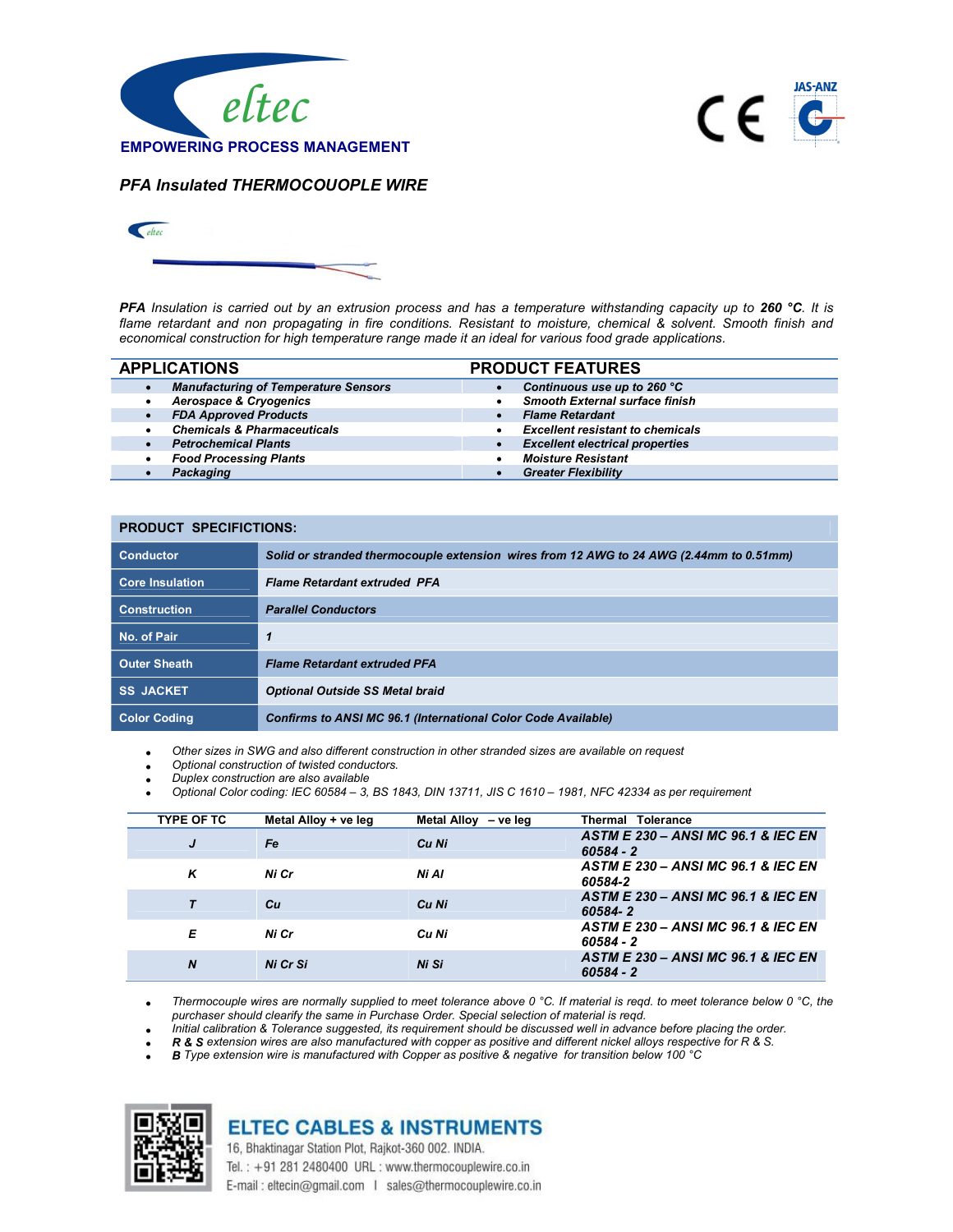



PFA Insulated THERMOCOUOPLE WIRE



PFA Insulation is carried out by an extrusion process and has a temperature withstanding capacity up to 260 °C. It is flame retardant and non propagating in fire conditions. Resistant to moisture, chemical & solvent. Smooth finish and economical construction for high temperature range made it an ideal for various food grade applications.

|           | <b>APPLICATIONS</b>                         | <b>PRODUCT FEATURES</b>                 |
|-----------|---------------------------------------------|-----------------------------------------|
|           | <b>Manufacturing of Temperature Sensors</b> | Continuous use up to 260 °C             |
| ٠         | <b>Aerospace &amp; Cryogenics</b>           | <b>Smooth External surface finish</b>   |
| $\bullet$ | <b>FDA Approved Products</b>                | <b>Flame Retardant</b>                  |
|           | <b>Chemicals &amp; Pharmaceuticals</b>      | <b>Excellent resistant to chemicals</b> |
|           | <b>Petrochemical Plants</b>                 | <b>Excellent electrical properties</b>  |
| $\bullet$ | <b>Food Processing Plants</b>               | <b>Moisture Resistant</b>               |
|           | Packaging                                   | <b>Greater Flexibility</b>              |

| <b>PRODUCT SPECIFICTIONS:</b> |                                                                                         |  |  |
|-------------------------------|-----------------------------------------------------------------------------------------|--|--|
| <b>Conductor</b>              | Solid or stranded thermocouple extension wires from 12 AWG to 24 AWG (2.44mm to 0.51mm) |  |  |
| <b>Core Insulation</b>        | <b>Flame Retardant extruded PFA</b>                                                     |  |  |
| <b>Construction</b>           | <b>Parallel Conductors</b>                                                              |  |  |
| No. of Pair                   | 1                                                                                       |  |  |
| <b>Outer Sheath</b>           | <b>Flame Retardant extruded PFA</b>                                                     |  |  |
| <b>SS JACKET</b>              | <b>Optional Outside SS Metal braid</b>                                                  |  |  |
| <b>Color Coding</b>           | <b>Confirms to ANSI MC 96.1 (International Color Code Available)</b>                    |  |  |

Other sizes in SWG and also different construction in other stranded sizes are available on request

- Optional construction of twisted conductors.
- Duplex construction are also available
- Optional Color coding: IEC 60584 3, BS 1843, DIN 13711, JIS C 1610 1981, NFC 42334 as per requirement

| <b>TYPE OF TC</b> | Metal Alloy + ve leg | Metal Alloy - ve leg | Thermal Tolerance                                            |
|-------------------|----------------------|----------------------|--------------------------------------------------------------|
| J                 | Fe                   | Cu Ni                | <b>ASTM E 230 - ANSI MC 96.1 &amp; IEC EN</b><br>$60584 - 2$ |
| ĸ                 | Ni Cr                | Ni Al                | <b>ASTM E 230 - ANSI MC 96.1 &amp; IEC EN</b><br>60584-2     |
|                   | Cн                   | Cu Ni                | ASTM E 230 - ANSI MC 96.1 & IEC EN<br>60584-2                |
| Е                 | Ni Cr                | Cu Ni                | <b>ASTM E 230 - ANSI MC 96.1 &amp; IEC EN</b><br>$60584 - 2$ |
| $\boldsymbol{N}$  | Ni Cr Si             | Ni Si                | ASTM E 230 - ANSI MC 96.1 & IEC EN<br>$60584 - 2$            |

Thermocouple wires are normally supplied to meet tolerance above 0 °C. If material is reqd. to meet tolerance below 0 °C, the purchaser should clearify the same in Purchase Order. Special selection of material is reqd.

Initial calibration & Tolerance suggested, its requirement should be discussed well in advance before placing the order.

R & S extension wires are also manufactured with copper as positive and different nickel alloys respective for R & S.

B Type extension wire is manufactured with Copper as positive & negative for transition below 100 °C



## **ELTEC CABLES & INSTRUMENTS**

16, Bhaktinagar Station Plot, Rajkot-360 002. INDIA. Tel.: +91 281 2480400 URL: www.thermocouplewire.co.in E-mail: eltecin@gmail.com | sales@thermocouplewire.co.in